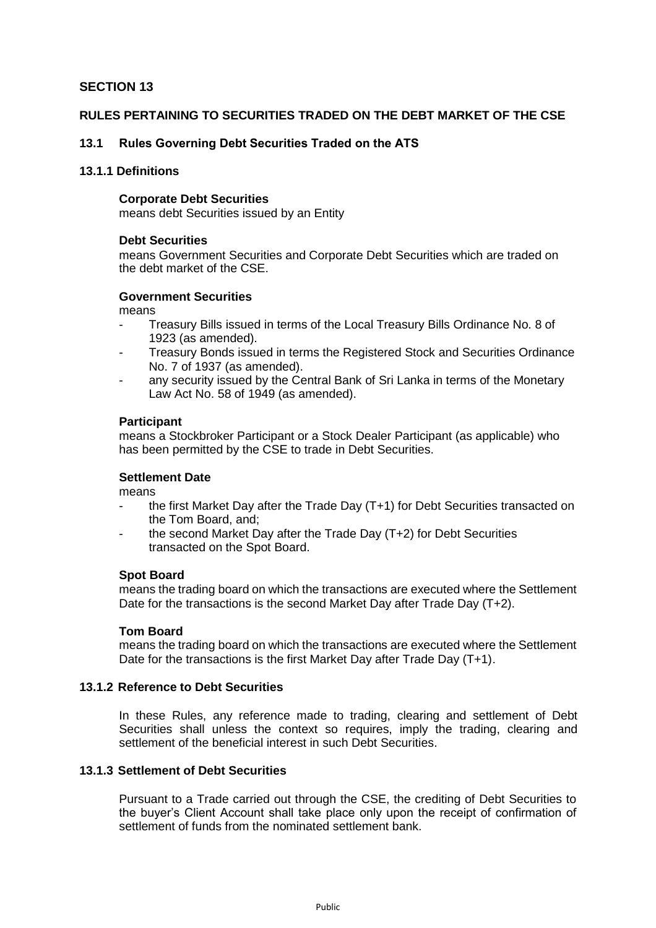# **SECTION 13**

## **RULES PERTAINING TO SECURITIES TRADED ON THE DEBT MARKET OF THE CSE**

## **13.1 Rules Governing Debt Securities Traded on the ATS**

### **13.1.1 Definitions**

#### **Corporate Debt Securities**

means debt Securities issued by an Entity

### **Debt Securities**

means Government Securities and Corporate Debt Securities which are traded on the debt market of the CSE.

## **Government Securities**

means

- Treasury Bills issued in terms of the Local Treasury Bills Ordinance No. 8 of 1923 (as amended).
- Treasury Bonds issued in terms the Registered Stock and Securities Ordinance No. 7 of 1937 (as amended).
- any security issued by the Central Bank of Sri Lanka in terms of the Monetary Law Act No. 58 of 1949 (as amended).

#### **Participant**

means a Stockbroker Participant or a Stock Dealer Participant (as applicable) who has been permitted by the CSE to trade in Debt Securities.

## **Settlement Date**

means

- the first Market Day after the Trade Day (T+1) for Debt Securities transacted on the Tom Board, and;
- the second Market Day after the Trade Day (T+2) for Debt Securities transacted on the Spot Board.

### **Spot Board**

means the trading board on which the transactions are executed where the Settlement Date for the transactions is the second Market Day after Trade Day (T+2).

### **Tom Board**

means the trading board on which the transactions are executed where the Settlement Date for the transactions is the first Market Day after Trade Day (T+1).

### **13.1.2 Reference to Debt Securities**

In these Rules, any reference made to trading, clearing and settlement of Debt Securities shall unless the context so requires, imply the trading, clearing and settlement of the beneficial interest in such Debt Securities.

### **13.1.3 Settlement of Debt Securities**

Pursuant to a Trade carried out through the CSE, the crediting of Debt Securities to the buyer's Client Account shall take place only upon the receipt of confirmation of settlement of funds from the nominated settlement bank.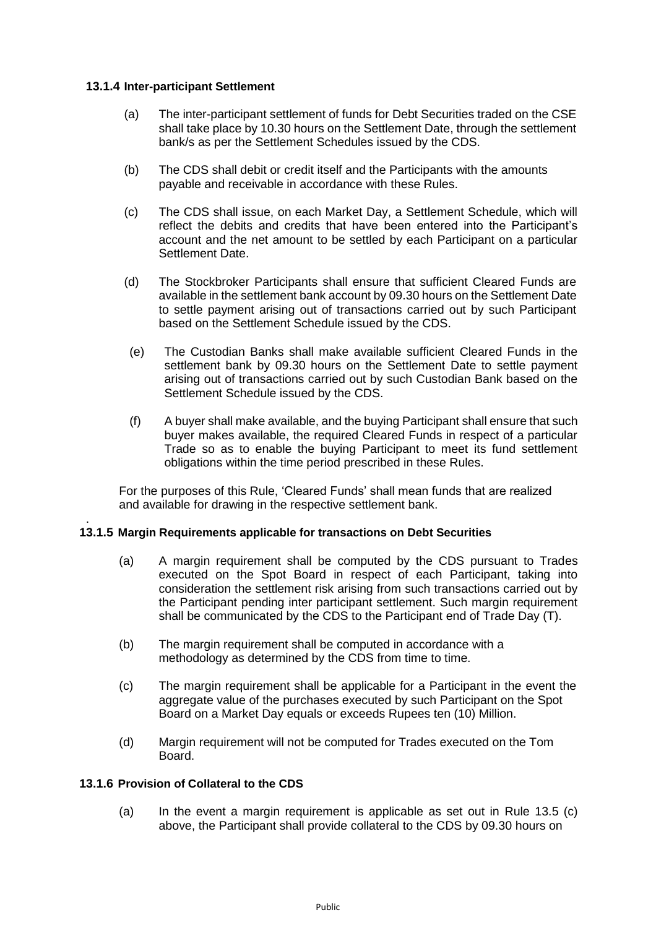## **13.1.4 Inter-participant Settlement**

- (a) The inter-participant settlement of funds for Debt Securities traded on the CSE shall take place by 10.30 hours on the Settlement Date, through the settlement bank/s as per the Settlement Schedules issued by the CDS.
- (b) The CDS shall debit or credit itself and the Participants with the amounts payable and receivable in accordance with these Rules.
- (c) The CDS shall issue, on each Market Day, a Settlement Schedule, which will reflect the debits and credits that have been entered into the Participant's account and the net amount to be settled by each Participant on a particular Settlement Date.
- (d) The Stockbroker Participants shall ensure that sufficient Cleared Funds are available in the settlement bank account by 09.30 hours on the Settlement Date to settle payment arising out of transactions carried out by such Participant based on the Settlement Schedule issued by the CDS.
- (e) The Custodian Banks shall make available sufficient Cleared Funds in the settlement bank by 09.30 hours on the Settlement Date to settle payment arising out of transactions carried out by such Custodian Bank based on the Settlement Schedule issued by the CDS.
- (f) A buyer shall make available, and the buying Participant shall ensure that such buyer makes available, the required Cleared Funds in respect of a particular Trade so as to enable the buying Participant to meet its fund settlement obligations within the time period prescribed in these Rules.

For the purposes of this Rule, 'Cleared Funds' shall mean funds that are realized and available for drawing in the respective settlement bank.

#### . **13.1.5 Margin Requirements applicable for transactions on Debt Securities**

- (a) A margin requirement shall be computed by the CDS pursuant to Trades executed on the Spot Board in respect of each Participant, taking into consideration the settlement risk arising from such transactions carried out by the Participant pending inter participant settlement. Such margin requirement shall be communicated by the CDS to the Participant end of Trade Day (T).
- (b) The margin requirement shall be computed in accordance with a methodology as determined by the CDS from time to time.
- (c) The margin requirement shall be applicable for a Participant in the event the aggregate value of the purchases executed by such Participant on the Spot Board on a Market Day equals or exceeds Rupees ten (10) Million.
- (d) Margin requirement will not be computed for Trades executed on the Tom Board.

### **13.1.6 Provision of Collateral to the CDS**

(a) In the event a margin requirement is applicable as set out in Rule 13.5 (c) above, the Participant shall provide collateral to the CDS by 09.30 hours on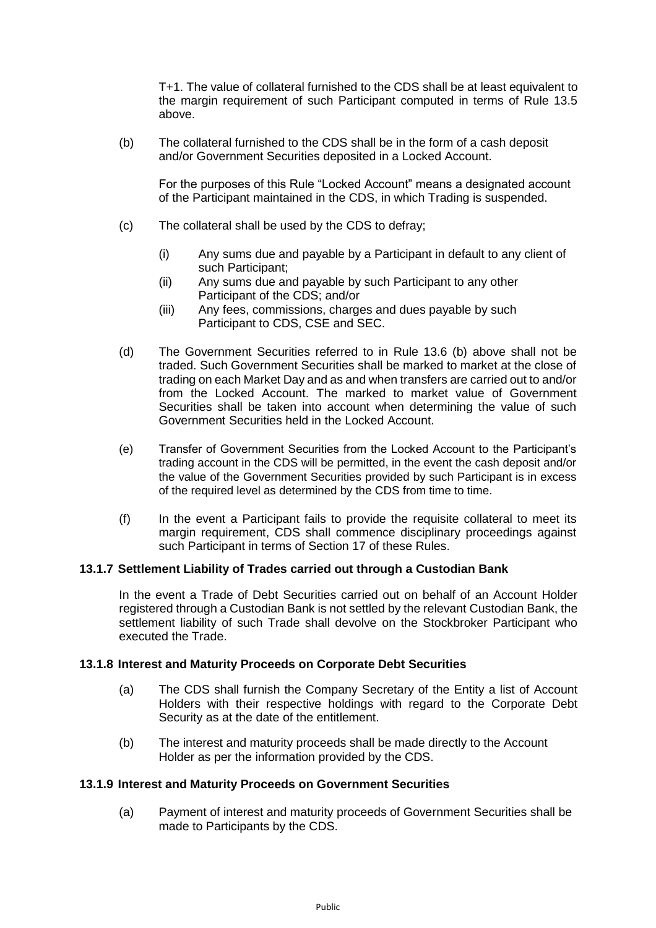T+1. The value of collateral furnished to the CDS shall be at least equivalent to the margin requirement of such Participant computed in terms of Rule 13.5 above.

(b) The collateral furnished to the CDS shall be in the form of a cash deposit and/or Government Securities deposited in a Locked Account.

For the purposes of this Rule "Locked Account" means a designated account of the Participant maintained in the CDS, in which Trading is suspended.

- (c) The collateral shall be used by the CDS to defray;
	- (i) Any sums due and payable by a Participant in default to any client of such Participant;
	- (ii) Any sums due and payable by such Participant to any other Participant of the CDS; and/or
	- (iii) Any fees, commissions, charges and dues payable by such Participant to CDS, CSE and SEC.
- (d) The Government Securities referred to in Rule 13.6 (b) above shall not be traded. Such Government Securities shall be marked to market at the close of trading on each Market Day and as and when transfers are carried out to and/or from the Locked Account. The marked to market value of Government Securities shall be taken into account when determining the value of such Government Securities held in the Locked Account.
- (e) Transfer of Government Securities from the Locked Account to the Participant's trading account in the CDS will be permitted, in the event the cash deposit and/or the value of the Government Securities provided by such Participant is in excess of the required level as determined by the CDS from time to time.
- (f) In the event a Participant fails to provide the requisite collateral to meet its margin requirement, CDS shall commence disciplinary proceedings against such Participant in terms of Section 17 of these Rules.

# **13.1.7 Settlement Liability of Trades carried out through a Custodian Bank**

In the event a Trade of Debt Securities carried out on behalf of an Account Holder registered through a Custodian Bank is not settled by the relevant Custodian Bank, the settlement liability of such Trade shall devolve on the Stockbroker Participant who executed the Trade.

## **13.1.8 Interest and Maturity Proceeds on Corporate Debt Securities**

- (a) The CDS shall furnish the Company Secretary of the Entity a list of Account Holders with their respective holdings with regard to the Corporate Debt Security as at the date of the entitlement.
- (b) The interest and maturity proceeds shall be made directly to the Account Holder as per the information provided by the CDS.

### **13.1.9 Interest and Maturity Proceeds on Government Securities**

(a) Payment of interest and maturity proceeds of Government Securities shall be made to Participants by the CDS.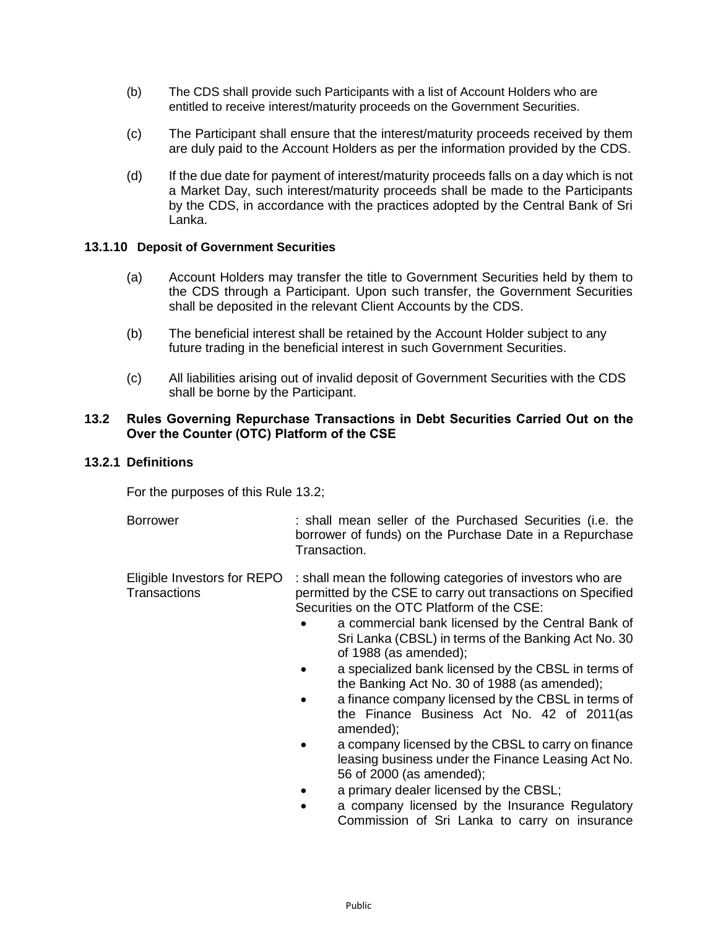- (b) The CDS shall provide such Participants with a list of Account Holders who are entitled to receive interest/maturity proceeds on the Government Securities.
- (c) The Participant shall ensure that the interest/maturity proceeds received by them are duly paid to the Account Holders as per the information provided by the CDS.
- (d) If the due date for payment of interest/maturity proceeds falls on a day which is not a Market Day, such interest/maturity proceeds shall be made to the Participants by the CDS, in accordance with the practices adopted by the Central Bank of Sri Lanka.

### **13.1.10 Deposit of Government Securities**

- (a) Account Holders may transfer the title to Government Securities held by them to the CDS through a Participant. Upon such transfer, the Government Securities shall be deposited in the relevant Client Accounts by the CDS.
- (b) The beneficial interest shall be retained by the Account Holder subject to any future trading in the beneficial interest in such Government Securities.
- (c) All liabilities arising out of invalid deposit of Government Securities with the CDS shall be borne by the Participant.

### **13.2 Rules Governing Repurchase Transactions in Debt Securities Carried Out on the Over the Counter (OTC) Platform of the CSE**

#### **13.2.1 Definitions**

For the purposes of this Rule 13.2;

Borrower : shall mean seller of the Purchased Securities (i.e. the borrower of funds) on the Purchase Date in a Repurchase Transaction.

Eligible Investors for REPO : shall mean the following categories of investors who are Transactions permitted by the CSE to carry out transactions on Specified Securities on the OTC Platform of the CSE:

- a commercial bank licensed by the Central Bank of Sri Lanka (CBSL) in terms of the Banking Act No. 30 of 1988 (as amended);
- a specialized bank licensed by the CBSL in terms of the Banking Act No. 30 of 1988 (as amended);
- a finance company licensed by the CBSL in terms of the Finance Business Act No. 42 of 2011(as amended);
- a company licensed by the CBSL to carry on finance leasing business under the Finance Leasing Act No. 56 of 2000 (as amended);
- a primary dealer licensed by the CBSL;
- a company licensed by the Insurance Regulatory Commission of Sri Lanka to carry on insurance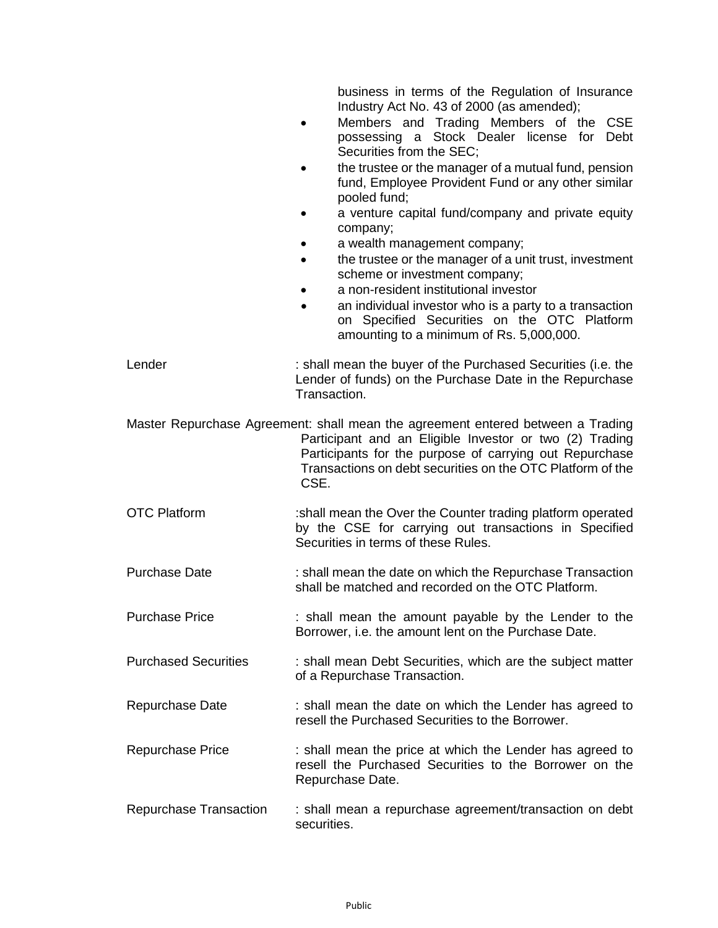business in terms of the Regulation of Insurance Industry Act No. 43 of 2000 (as amended);

- Members and Trading Members of the CSE possessing a Stock Dealer license for Debt Securities from the SEC;
- the trustee or the manager of a mutual fund, pension fund, Employee Provident Fund or any other similar pooled fund;
- a venture capital fund/company and private equity company;
- a wealth management company;
- the trustee or the manager of a unit trust, investment scheme or investment company;
- a non-resident institutional investor
- an individual investor who is a party to a transaction on Specified Securities on the OTC Platform amounting to a minimum of Rs. 5,000,000.
- Lender **Solution Example 2.** shall mean the buyer of the Purchased Securities (i.e. the Lender of funds) on the Purchase Date in the Repurchase Transaction.
- Master Repurchase Agreement: shall mean the agreement entered between a Trading Participant and an Eligible Investor or two (2) Trading Participants for the purpose of carrying out Repurchase Transactions on debt securities on the OTC Platform of the CSE.
- OTC Platform **State 1 and State State State State 1**: shall mean the Over the Counter trading platform operated by the CSE for carrying out transactions in Specified Securities in terms of these Rules.
- Purchase Date : shall mean the date on which the Repurchase Transaction shall be matched and recorded on the OTC Platform.
- Purchase Price **:** shall mean the amount payable by the Lender to the Borrower, i.e. the amount lent on the Purchase Date.
- Purchased Securities : shall mean Debt Securities, which are the subject matter of a Repurchase Transaction.
- Repurchase Date **:** shall mean the date on which the Lender has agreed to resell the Purchased Securities to the Borrower.
- Repurchase Price *E* : shall mean the price at which the Lender has agreed to resell the Purchased Securities to the Borrower on the Repurchase Date.
- Repurchase Transaction : shall mean a repurchase agreement/transaction on debt securities.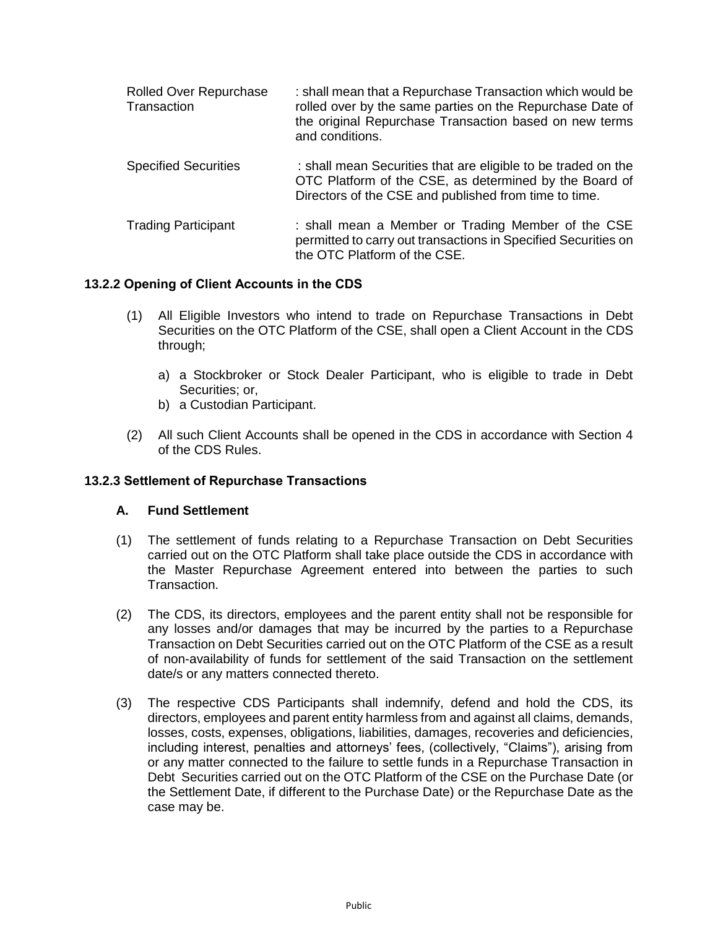| <b>Rolled Over Repurchase</b><br>Transaction | : shall mean that a Repurchase Transaction which would be<br>rolled over by the same parties on the Repurchase Date of<br>the original Repurchase Transaction based on new terms<br>and conditions. |
|----------------------------------------------|-----------------------------------------------------------------------------------------------------------------------------------------------------------------------------------------------------|
| <b>Specified Securities</b>                  | : shall mean Securities that are eligible to be traded on the<br>OTC Platform of the CSE, as determined by the Board of<br>Directors of the CSE and published from time to time.                    |
| <b>Trading Participant</b>                   | : shall mean a Member or Trading Member of the CSE<br>permitted to carry out transactions in Specified Securities on<br>the OTC Platform of the CSE.                                                |

# **13.2.2 Opening of Client Accounts in the CDS**

- (1) All Eligible Investors who intend to trade on Repurchase Transactions in Debt Securities on the OTC Platform of the CSE, shall open a Client Account in the CDS through;
	- a) a Stockbroker or Stock Dealer Participant, who is eligible to trade in Debt Securities; or,
	- b) a Custodian Participant.
- (2) All such Client Accounts shall be opened in the CDS in accordance with Section 4 of the CDS Rules.

# **13.2.3 Settlement of Repurchase Transactions**

### **A. Fund Settlement**

- (1) The settlement of funds relating to a Repurchase Transaction on Debt Securities carried out on the OTC Platform shall take place outside the CDS in accordance with the Master Repurchase Agreement entered into between the parties to such Transaction.
- (2) The CDS, its directors, employees and the parent entity shall not be responsible for any losses and/or damages that may be incurred by the parties to a Repurchase Transaction on Debt Securities carried out on the OTC Platform of the CSE as a result of non-availability of funds for settlement of the said Transaction on the settlement date/s or any matters connected thereto.
- (3) The respective CDS Participants shall indemnify, defend and hold the CDS, its directors, employees and parent entity harmless from and against all claims, demands, losses, costs, expenses, obligations, liabilities, damages, recoveries and deficiencies, including interest, penalties and attorneys' fees, (collectively, "Claims"), arising from or any matter connected to the failure to settle funds in a Repurchase Transaction in Debt Securities carried out on the OTC Platform of the CSE on the Purchase Date (or the Settlement Date, if different to the Purchase Date) or the Repurchase Date as the case may be.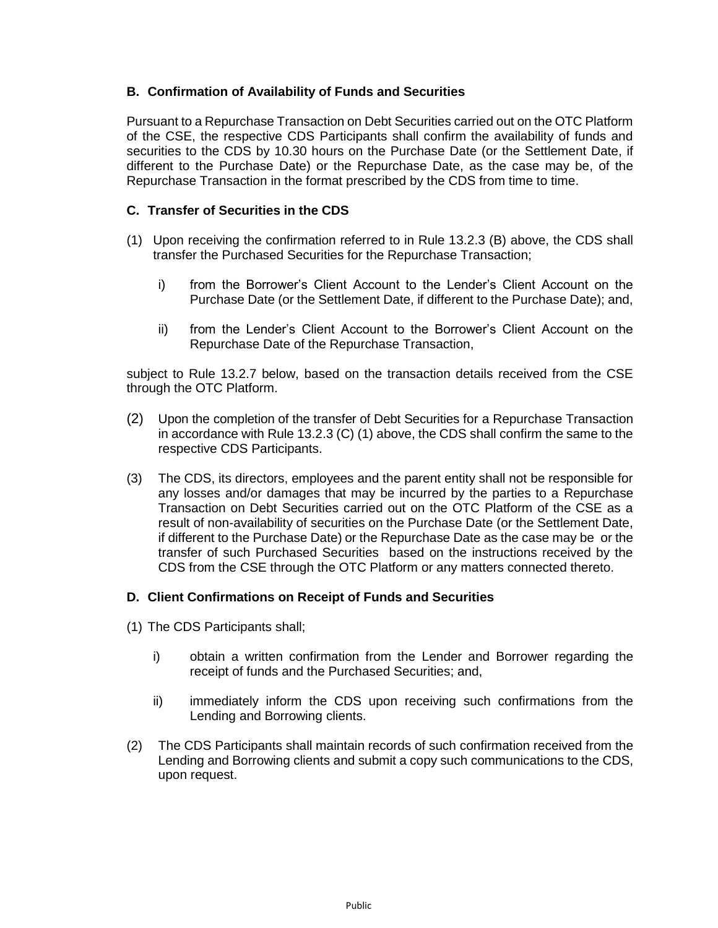# **B. Confirmation of Availability of Funds and Securities**

Pursuant to a Repurchase Transaction on Debt Securities carried out on the OTC Platform of the CSE, the respective CDS Participants shall confirm the availability of funds and securities to the CDS by 10.30 hours on the Purchase Date (or the Settlement Date, if different to the Purchase Date) or the Repurchase Date, as the case may be, of the Repurchase Transaction in the format prescribed by the CDS from time to time.

# **C. Transfer of Securities in the CDS**

- (1) Upon receiving the confirmation referred to in Rule 13.2.3 (B) above, the CDS shall transfer the Purchased Securities for the Repurchase Transaction;
	- i) from the Borrower's Client Account to the Lender's Client Account on the Purchase Date (or the Settlement Date, if different to the Purchase Date); and,
	- ii) from the Lender's Client Account to the Borrower's Client Account on the Repurchase Date of the Repurchase Transaction,

subject to Rule 13.2.7 below, based on the transaction details received from the CSE through the OTC Platform.

- (2) Upon the completion of the transfer of Debt Securities for a Repurchase Transaction in accordance with Rule 13.2.3 (C) (1) above, the CDS shall confirm the same to the respective CDS Participants.
- (3) The CDS, its directors, employees and the parent entity shall not be responsible for any losses and/or damages that may be incurred by the parties to a Repurchase Transaction on Debt Securities carried out on the OTC Platform of the CSE as a result of non-availability of securities on the Purchase Date (or the Settlement Date, if different to the Purchase Date) or the Repurchase Date as the case may be or the transfer of such Purchased Securities based on the instructions received by the CDS from the CSE through the OTC Platform or any matters connected thereto.

# **D. Client Confirmations on Receipt of Funds and Securities**

- (1) The CDS Participants shall;
	- i) obtain a written confirmation from the Lender and Borrower regarding the receipt of funds and the Purchased Securities; and,
	- ii) immediately inform the CDS upon receiving such confirmations from the Lending and Borrowing clients.
- (2) The CDS Participants shall maintain records of such confirmation received from the Lending and Borrowing clients and submit a copy such communications to the CDS, upon request.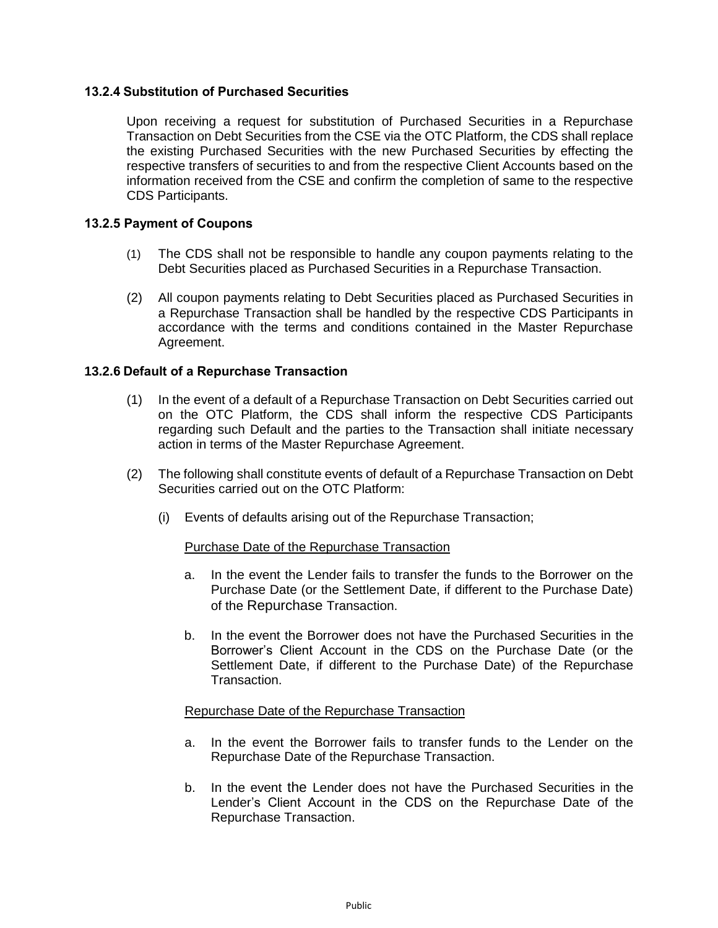## **13.2.4 Substitution of Purchased Securities**

Upon receiving a request for substitution of Purchased Securities in a Repurchase Transaction on Debt Securities from the CSE via the OTC Platform, the CDS shall replace the existing Purchased Securities with the new Purchased Securities by effecting the respective transfers of securities to and from the respective Client Accounts based on the information received from the CSE and confirm the completion of same to the respective CDS Participants.

### **13.2.5 Payment of Coupons**

- (1) The CDS shall not be responsible to handle any coupon payments relating to the Debt Securities placed as Purchased Securities in a Repurchase Transaction.
- (2) All coupon payments relating to Debt Securities placed as Purchased Securities in a Repurchase Transaction shall be handled by the respective CDS Participants in accordance with the terms and conditions contained in the Master Repurchase Agreement.

## **13.2.6 Default of a Repurchase Transaction**

- (1) In the event of a default of a Repurchase Transaction on Debt Securities carried out on the OTC Platform, the CDS shall inform the respective CDS Participants regarding such Default and the parties to the Transaction shall initiate necessary action in terms of the Master Repurchase Agreement.
- (2) The following shall constitute events of default of a Repurchase Transaction on Debt Securities carried out on the OTC Platform:
	- (i) Events of defaults arising out of the Repurchase Transaction;

### Purchase Date of the Repurchase Transaction

- a. In the event the Lender fails to transfer the funds to the Borrower on the Purchase Date (or the Settlement Date, if different to the Purchase Date) of the Repurchase Transaction.
- b. In the event the Borrower does not have the Purchased Securities in the Borrower's Client Account in the CDS on the Purchase Date (or the Settlement Date, if different to the Purchase Date) of the Repurchase Transaction.

### Repurchase Date of the Repurchase Transaction

- a. In the event the Borrower fails to transfer funds to the Lender on the Repurchase Date of the Repurchase Transaction.
- b. In the event the Lender does not have the Purchased Securities in the Lender's Client Account in the CDS on the Repurchase Date of the Repurchase Transaction.